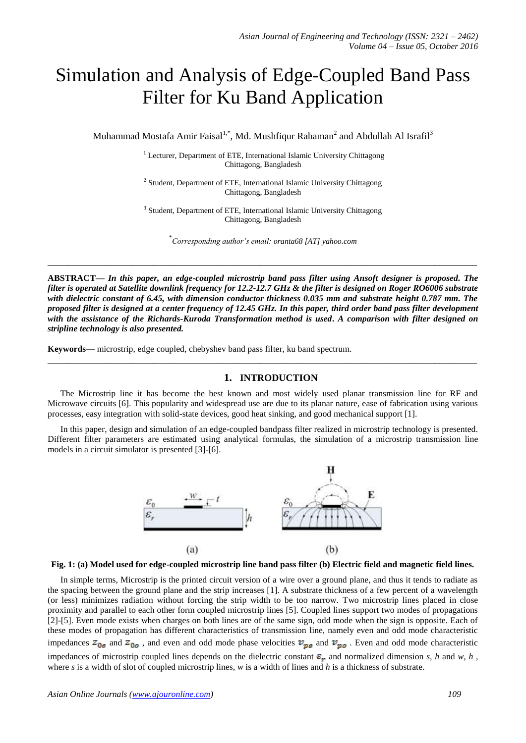# Simulation and Analysis of Edge-Coupled Band Pass Filter for Ku Band Application

Muhammad Mostafa Amir Faisal<sup>1,\*</sup>, Md. Mushfiqur Rahaman<sup>2</sup> and Abdullah Al Israfil<sup>3</sup>

<sup>1</sup> Lecturer, Department of ETE, International Islamic University Chittagong Chittagong, Bangladesh

<sup>2</sup> Student, Department of ETE, International Islamic University Chittagong Chittagong, Bangladesh

<sup>3</sup> Student, Department of ETE, International Islamic University Chittagong Chittagong, Bangladesh

\* *Corresponding author's email: oranta68 [AT] yahoo.com*

**\_\_\_\_\_\_\_\_\_\_\_\_\_\_\_\_\_\_\_\_\_\_\_\_\_\_\_\_\_\_\_\_\_\_\_\_\_\_\_\_\_\_\_\_\_\_\_\_\_\_\_\_\_\_\_\_\_\_\_\_\_\_\_\_\_\_\_\_\_\_\_\_\_\_\_\_\_\_\_\_\_**

**ABSTRACT—** *In this paper, an edge-coupled microstrip band pass filter using Ansoft designer is proposed. The filter is operated at Satellite downlink frequency for 12.2-12.7 GHz & the filter is designed on Roger RO6006 substrate with dielectric constant of 6.45, with dimension conductor thickness 0.035 mm and substrate height 0.787 mm. The proposed filter is designed at a center frequency of 12.45 GHz. In this paper, third order band pass filter development with the assistance of the Richards-Kuroda Transformation method is used***.** *A comparison with filter designed on stripline technology is also presented.*

**Keywords—** microstrip, edge coupled, chebyshev band pass filter, ku band spectrum.

# **1. INTRODUCTION**

The Microstrip line it has become the best known and most widely used planar transmission line for RF and Microwave circuits [6]. This popularity and widespread use are due to its planar nature, ease of fabrication using various processes, easy integration with solid-state devices, good heat sinking, and good mechanical support [1].

**\_\_\_\_\_\_\_\_\_\_\_\_\_\_\_\_\_\_\_\_\_\_\_\_\_\_\_\_\_\_\_\_\_\_\_\_\_\_\_\_\_\_\_\_\_\_\_\_\_\_\_\_\_\_\_\_\_\_\_\_\_\_\_\_\_\_\_\_\_\_\_\_\_\_\_\_\_\_\_\_\_**

In this paper, design and simulation of an edge-coupled bandpass filter realized in microstrip technology is presented. Different filter parameters are estimated using analytical formulas, the simulation of a microstrip transmission line models in a circuit simulator is presented [3]-[6].



**Fig. 1: (a) Model used for edge-coupled microstrip line band pass filter (b) Electric field and magnetic field lines.**

In simple terms, Microstrip is the printed circuit version of a wire over a ground plane, and thus it tends to radiate as the spacing between the ground plane and the strip increases [1]. A substrate thickness of a few percent of a wavelength (or less) minimizes radiation without forcing the strip width to be too narrow. Two microstrip lines placed in close proximity and parallel to each other form coupled microstrip lines [5]. Coupled lines support two modes of propagations [2]-[5]. Even mode exists when charges on both lines are of the same sign, odd mode when the sign is opposite. Each of these modes of propagation has different characteristics of transmission line, namely even and odd mode characteristic impedances  $z_{0e}$  and  $z_{0o}$ , and even and odd mode phase velocities  $v_{pe}$  and  $v_{po}$ . Even and odd mode characteristic impedances of microstrip coupled lines depends on the dielectric constant  $\varepsilon_r$  and normalized dimension *s*, *h* and *w*, *h*, where *s* is a width of slot of coupled microstrip lines, *w* is a width of lines and *h* is a thickness of substrate.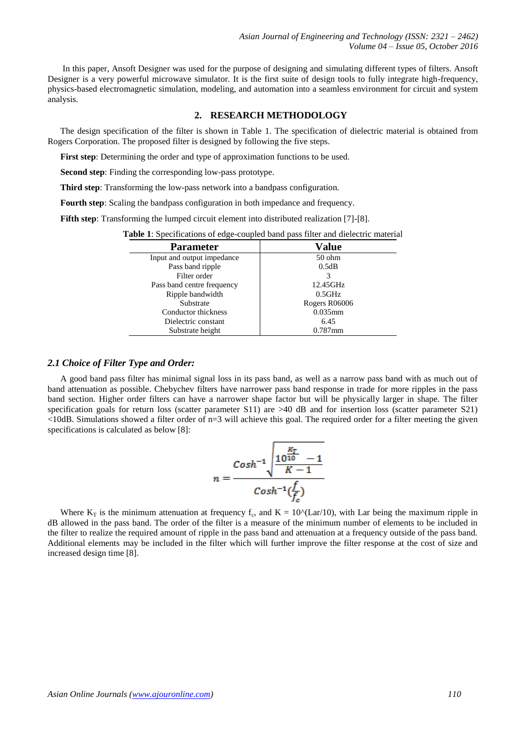In this paper, Ansoft Designer was used for the purpose of designing and simulating different types of filters. Ansoft Designer is a very powerful microwave simulator. It is the first suite of design tools to fully integrate high-frequency, physics-based electromagnetic simulation, modeling, and automation into a seamless environment for circuit and system analysis.

## **2. RESEARCH METHODOLOGY**

The design specification of the filter is shown in Table 1. The specification of dielectric material is obtained from Rogers Corporation. The proposed filter is designed by following the five steps.

**First step**: Determining the order and type of approximation functions to be used.

**Second step**: Finding the corresponding low-pass prototype.

**Third step**: Transforming the low-pass network into a bandpass configuration.

**Fourth step**: Scaling the bandpass configuration in both impedance and frequency.

**Fifth step**: Transforming the lumped circuit element into distributed realization [7]-[8].

**Table 1**: Specifications of edge-coupled band pass filter and dielectric material

| <b>Parameter</b>           | Value         |  |  |
|----------------------------|---------------|--|--|
| Input and output impedance | $50$ ohm      |  |  |
| Pass band ripple           | 0.5dB         |  |  |
| Filter order               |               |  |  |
| Pass band centre frequency | 12.45GHz      |  |  |
| Ripple bandwidth           | 0.5GHz        |  |  |
| Substrate                  | Rogers R06006 |  |  |
| Conductor thickness        | $0.035$ mm    |  |  |
| Dielectric constant        | 6.45          |  |  |
| Substrate height           | $0.787$ mm    |  |  |

#### *2.1 Choice of Filter Type and Order:*

A good band pass filter has minimal signal loss in its pass band, as well as a narrow pass band with as much out of band attenuation as possible. Chebychev filters have narrower pass band response in trade for more ripples in the pass band section. Higher order filters can have a narrower shape factor but will be physically larger in shape. The filter specification goals for return loss (scatter parameter S11) are >40 dB and for insertion loss (scatter parameter S21) <10dB. Simulations showed a filter order of n=3 will achieve this goal. The required order for a filter meeting the given specifications is calculated as below [8]:

$$
n = \frac{Cosh^{-1} \sqrt{\frac{10^{K}T}{K-1}} - 1}{Cosh^{-1}(\frac{f}{f_c})}
$$

Where  $K_T$  is the minimum attenuation at frequency  $f_c$ , and  $K = 10^{\circ}$ (Lar/10), with Lar being the maximum ripple in dB allowed in the pass band. The order of the filter is a measure of the minimum number of elements to be included in the filter to realize the required amount of ripple in the pass band and attenuation at a frequency outside of the pass band. Additional elements may be included in the filter which will further improve the filter response at the cost of size and increased design time [8].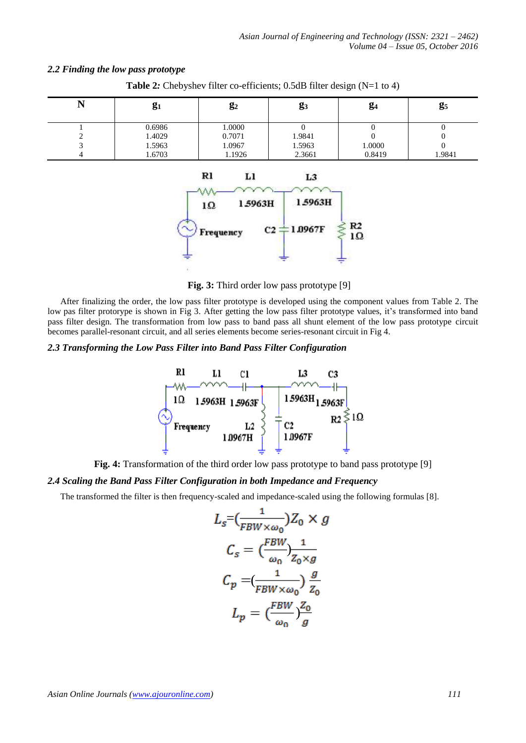$R<sub>2</sub>$ 

### *2.2 Finding the low pass prototype*

| T4 | $g_1$  | $\mathbf{g}_2$ | <b>g</b> <sub>3</sub> | $g_4$  | g <sub>5</sub> |
|----|--------|----------------|-----------------------|--------|----------------|
|    | 0.6986 | 1.0000         | $\theta$              | O      | O              |
|    | 1.4029 | 0.7071         | 1.9841                | 0      | $\theta$       |
| ◠  | 1.5963 | 1.0967         | 1.5963                | 1.0000 | $\Omega$       |
|    | 1.6703 | 1.1926         | 2.3661                | 0.8419 | 1.9841         |

1.5963H

**Table 2***:* Chebyshev filter co-efficients; 0.5dB filter design (N=1 to 4)



 $C<sub>2</sub>$ 

1.5963H

1.0967F

After finalizing the order, the low pass filter prototype is developed using the component values from Table 2. The low pas filter protorype is shown in Fig 3. After getting the low pass filter prototype values, it's transformed into band pass filter design. The transformation from low pass to band pass all shunt element of the low pass prototype circuit becomes parallel-resonant circuit, and all series elements become series-resonant circuit in Fig 4.

## *2.3 Transforming the Low Pass Filter into Band Pass Filter Configuration*

10

Frequency



**Fig. 4:** Transformation of the third order low pass prototype to band pass prototype [9]

# *2.4 Scaling the Band Pass Filter Configuration in both Impedance and Frequency*

The transformed the filter is then frequency-scaled and impedance-scaled using the following formulas [8].

$$
L_s = \left(\frac{1}{FBW \times \omega_0}\right) Z_0 \times g
$$

$$
C_s = \left(\frac{FBW}{\omega_0}\right) \frac{1}{Z_0 \times g}
$$

$$
C_p = \left(\frac{1}{FBW \times \omega_0}\right) \frac{g}{Z_0}
$$

$$
L_p = \left(\frac{FBW}{\omega_0}\right) \frac{Z_0}{g}
$$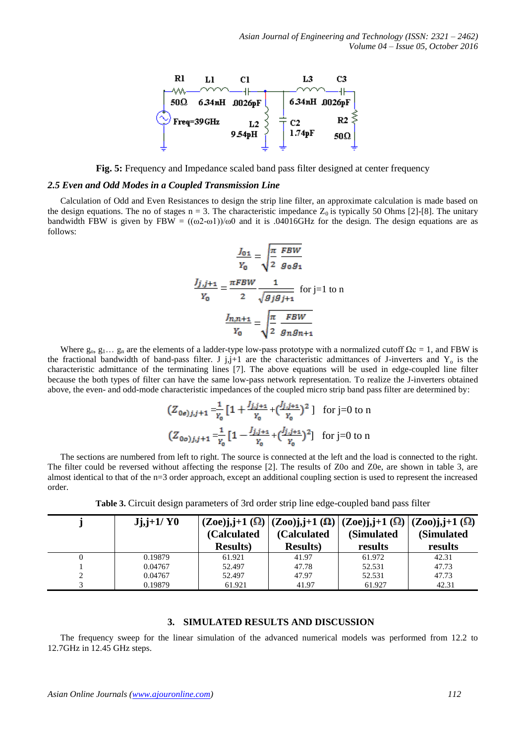

Fig. 5: Frequency and Impedance scaled band pass filter designed at center frequency

#### *2.5 Even and Odd Modes in a Coupled Transmission Line*

Calculation of Odd and Even Resistances to design the strip line filter, an approximate calculation is made based on the design equations. The no of stages  $n = 3$ . The characteristic impedance  $Z_0$  is typically 50 Ohms [2]-[8]. The unitary bandwidth FBW is given by FBW =  $((\omega2-\omega1))/\omega0$  and it is .04016GHz for the design. The design equations are as follows:

$$
\frac{J_{01}}{Y_0} = \sqrt{\frac{\pi}{2}} \frac{FBW}{g_0 g_1}
$$

$$
\frac{J_{j,j+1}}{Y_0} = \frac{\pi FBW}{2} \frac{1}{\sqrt{g_j g_{j+1}}} \text{ for } j=1 \text{ to } n
$$

$$
\frac{J_{n,n+1}}{Y_0} = \sqrt{\frac{\pi}{2}} \frac{FBW}{g_n g_{n+1}}
$$

Where  $g_0, g_1, \ldots, g_n$  are the elements of a ladder-type low-pass prototype with a normalized cutoff  $\Omega c = 1$ , and FBW is the fractional bandwidth of band-pass filter. J j,j+1 are the characteristic admittances of J-inverters and  $Y_0$  is the characteristic admittance of the terminating lines [7]. The above equations will be used in edge-coupled line filter because the both types of filter can have the same low-pass network representation. To realize the J-inverters obtained above, the even- and odd-mode characteristic impedances of the coupled micro strip band pass filter are determined by:

$$
(Z_{0e) j, j+1} = \frac{1}{r_0} \left[ 1 + \frac{J_{j, j+1}}{r_0} + \left( \frac{J_{j, j+1}}{r_0} \right)^2 \right] \text{ for } j = 0 \text{ to } n
$$
  

$$
(Z_{0e) j, j+1} = \frac{1}{r_0} \left[ 1 - \frac{J_{j, j+1}}{r_0} + \left( \frac{J_{j, j+1}}{r_0} \right)^2 \right] \text{ for } j = 0 \text{ to } n
$$

The sections are numbered from left to right. The source is connected at the left and the load is connected to the right. The filter could be reversed without affecting the response [2]. The results of Z0o and Z0e, are shown in table 3, are almost identical to that of the n=3 order approach, except an additional coupling section is used to represent the increased order.

| $Jj,j+1/$ Y <sub>0</sub> | (Calculated<br><b>Results</b> ) | (Calculated<br><b>Results</b> ) | $(Zoe)$ j,j+1 $(\Omega)$   $(Zoo)$ j,j+1 $(\Omega)$   $(Zoe)$ j,j+1 $(\Omega)$   $(Zoo)$ j,j+1 $(\Omega)$<br>(Simulated<br>results | (Simulated<br>results |
|--------------------------|---------------------------------|---------------------------------|------------------------------------------------------------------------------------------------------------------------------------|-----------------------|
| 0.19879                  | 61.921                          | 41.97                           | 61.972                                                                                                                             | 42.31                 |
| 0.04767                  | 52.497                          | 47.78                           | 52.531                                                                                                                             | 47.73                 |
| 0.04767                  | 52.497                          | 47.97                           | 52.531                                                                                                                             | 47.73                 |
| 0.19879                  | 61.921                          | 41.97                           | 61.927                                                                                                                             | 42.31                 |

**Table 3.** Circuit design parameters of 3rd order strip line edge-coupled band pass filter

# **3. SIMULATED RESULTS AND DISCUSSION**

The frequency sweep for the linear simulation of the advanced numerical models was performed from 12.2 to 12.7GHz in 12.45 GHz steps.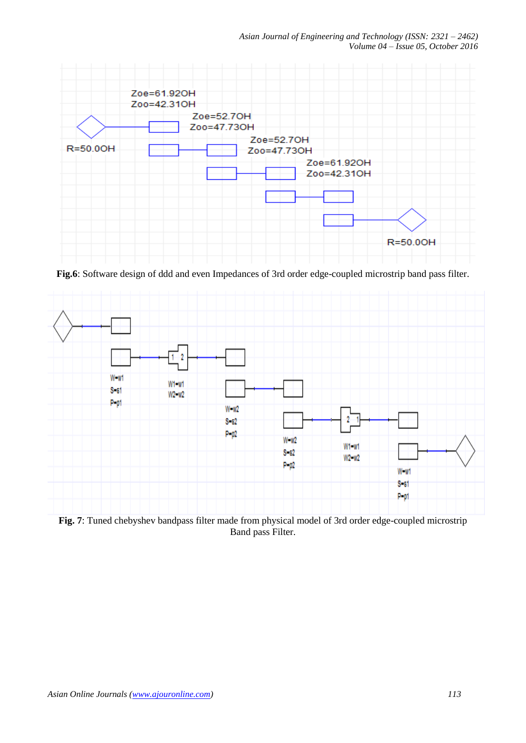

**Fig.6**: Software design of ddd and even Impedances of 3rd order edge-coupled microstrip band pass filter.



**Fig. 7**: Tuned chebyshev bandpass filter made from physical model of 3rd order edge-coupled microstrip Band pass Filter.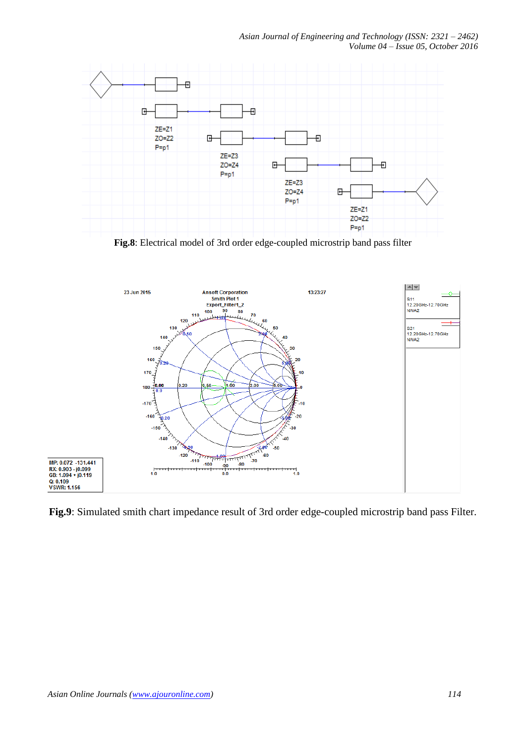

**Fig.8**: Electrical model of 3rd order edge-coupled microstrip band pass filter



**Fig.9**: Simulated smith chart impedance result of 3rd order edge-coupled microstrip band pass Filter.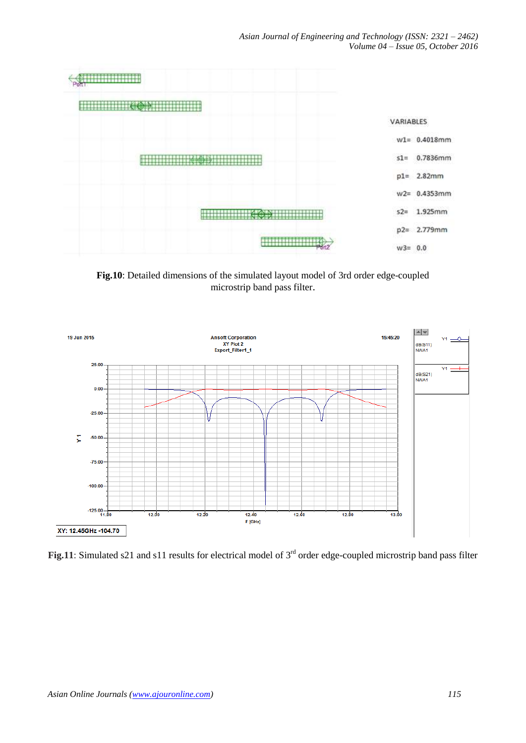

**Fig.10**: Detailed dimensions of the simulated layout model of 3rd order edge-coupled microstrip band pass filter.



Fig.11: Simulated s21 and s11 results for electrical model of 3<sup>rd</sup> order edge-coupled microstrip band pass filter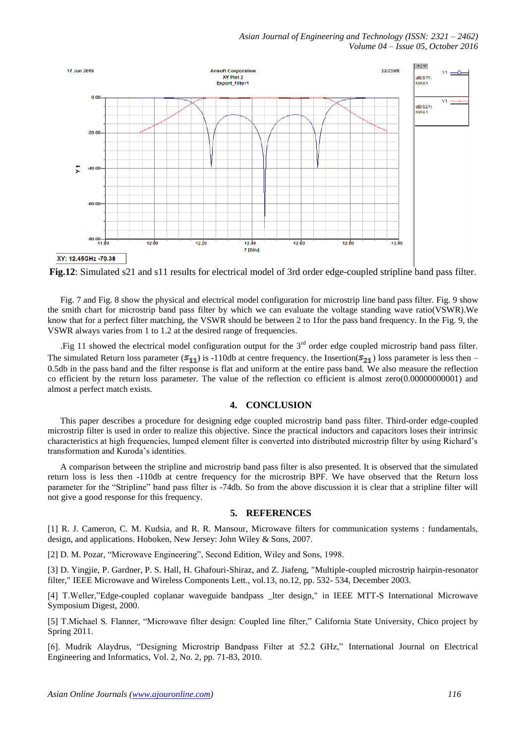

**Fig.12**: Simulated s21 and s11 results for electrical model of 3rd order edge-coupled stripline band pass filter.

Fig. 7 and Fig. 8 show the physical and electrical model configuration for microstrip line band pass filter. Fig. 9 show the smith chart for microstrip band pass filter by which we can evaluate the voltage standing wave ratio(VSWR).We know that for a perfect filter matching, the VSWR should be between 2 to 1for the pass band frequency. In the Fig. 9, the VSWR always varies from 1 to 1.2 at the desired range of frequencies.

.Fig 11 showed the electrical model configuration output for the  $3<sup>rd</sup>$  order edge coupled microstrip band pass filter. The simulated Return loss parameter  $(S_{11})$  is -110db at centre frequency. the Insertion( $S_{21}$ ) loss parameter is less then – 0.5db in the pass band and the filter response is flat and uniform at the entire pass band. We also measure the reflection co efficient by the return loss parameter. The value of the reflection co efficient is almost zero(0.00000000001) and almost a perfect match exists.

## **4. CONCLUSION**

This paper describes a procedure for designing edge coupled microstrip band pass filter. Third-order edge-coupled microstrip filter is used in order to realize this objective. Since the practical inductors and capacitors loses their intrinsic characteristics at high frequencies, lumped element filter is converted into distributed microstrip filter by using Richard's transformation and Kuroda's identities.

A comparison between the stripline and microstrip band pass filter is also presented. It is observed that the simulated return loss is less then -110db at centre frequency for the microstrip BPF. We have observed that the Return loss parameter for the "Stripline" band pass filter is -74db. So from the above discussion it is clear that a stripline filter will not give a good response for this frequency.

#### **5. REFERENCES**

[1] R. J. Cameron, C. M. Kudsia, and R. R. Mansour, Microwave filters for communication systems : fundamentals, design, and applications. Hoboken, New Jersey: John Wiley & Sons, 2007.

[2] D. M. Pozar, "Microwave Engineering", Second Edition, Wiley and Sons, 1998.

[3] D. Yingjie, P. Gardner, P. S. Hall, H. Ghafouri-Shiraz, and Z. Jiafeng, "Multiple-coupled microstrip hairpin-resonator filter," IEEE Microwave and Wireless Components Lett., vol.13, no.12, pp. 532- 534, December 2003.

[4] T.Weller,"Edge-coupled coplanar waveguide bandpass \_lter design," in IEEE MTT-S International Microwave Symposium Digest, 2000.

[5] T.Michael S. Flanner, "Microwave filter design: Coupled line filter," California State University, Chico project by Spring 2011.

[6]. Mudrik Alaydrus, "Designing Microstrip Bandpass Filter at 52.2 GHz," International Journal on Electrical Engineering and Informatics, Vol. 2, No. 2, pp. 71-83, 2010.